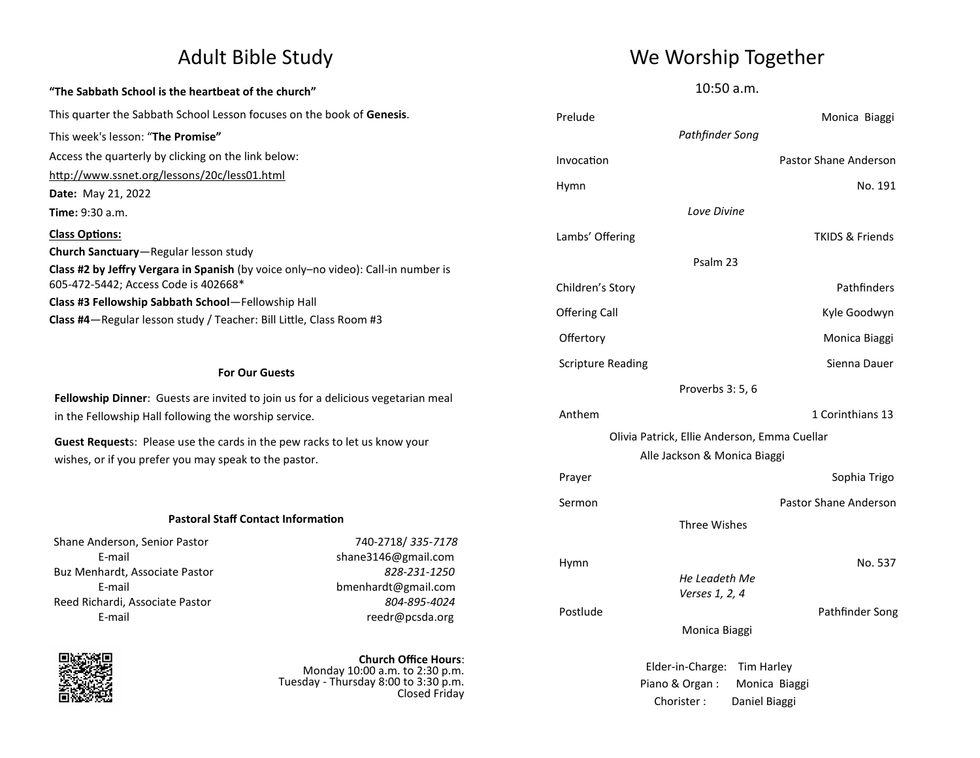## **"The Sabbath School is the heartbeat of the church"** This quarter the Sabbath School Lesson focuses on the book of **Genesis**. This week's lesson: "**The Promise"** Access the quarterly by clicking on the link below: <http://www.ssnet.org/lessons/20c/less01.html> **Date:** May 21, 2022 **Time:** 9:30 a.m. **Class Options: Church Sanctuary**—Regular lesson study **Class #2 by Jeffry Vergara in Spanish** (by voice only–no video): Call-in number is 605-472-5442; Access Code is 402668\* **Class #3 Fellowship Sabbath School**—Fellowship Hall **Class #4**—Regular lesson study / Teacher: Bill Little, Class Room #3

### **For Our Guests**

**Fellowship Dinner**: Guests are invited to join us for a delicious vegetarian meal in the Fellowship Hall following the worship service.

**Guest Request**s: Please use the cards in the pew racks to let us know your wishes, or if you prefer you may speak to the pastor.

### **Pastoral Staff Contact Information**

Shane Anderson, Senior Pastor 740-2718/ *335-7178* Buz Menhardt, Associate Pastor *828-231-1250* Reed Richardi, Associate Pastor *804-895-4024*

E-mail shane3146@gmail.com E-mail bmenhardt@gmail.com E-mail reedr@pcsda.org



**Church Office Hours**: Monday 10:00 a.m. to 2:30 p.m. Tuesday - Thursday 8:00 to 3:30 p.m. Closed Friday

# Adult Bible Study News Me Worship Together

10:50 a.m.

| Prelude                                      | Monica Biaggi              |
|----------------------------------------------|----------------------------|
| Pathfinder Song                              |                            |
| Invocation                                   | Pastor Shane Anderson      |
| Hymn                                         | No. 191                    |
| Love Divine                                  |                            |
| Lambs' Offering                              | <b>TKIDS &amp; Friends</b> |
| Psalm 23                                     |                            |
| Children's Story                             | Pathfinders                |
| <b>Offering Call</b>                         | Kyle Goodwyn               |
| Offertory                                    | Monica Biaggi              |
| <b>Scripture Reading</b>                     | Sienna Dauer               |
| Proverbs 3:5, 6                              |                            |
| Anthem                                       | 1 Corinthians 13           |
| Olivia Patrick, Ellie Anderson, Emma Cuellar |                            |
| Alle Jackson & Monica Biaggi                 |                            |
| Prayer                                       | Sophia Trigo               |
| Sermon                                       | Pastor Shane Anderson      |
| <b>Three Wishes</b>                          |                            |
| Hymn                                         | No. 537                    |
| He Leadeth Me<br>Verses 1, 2, 4              |                            |
| Postlude                                     | Pathfinder Song            |
| Monica Biaggi                                |                            |
| Elder-in-Charge:                             | Tim Harley                 |
| Piano & Organ:                               | Monica Biaggi              |

Chorister : Daniel Biaggi